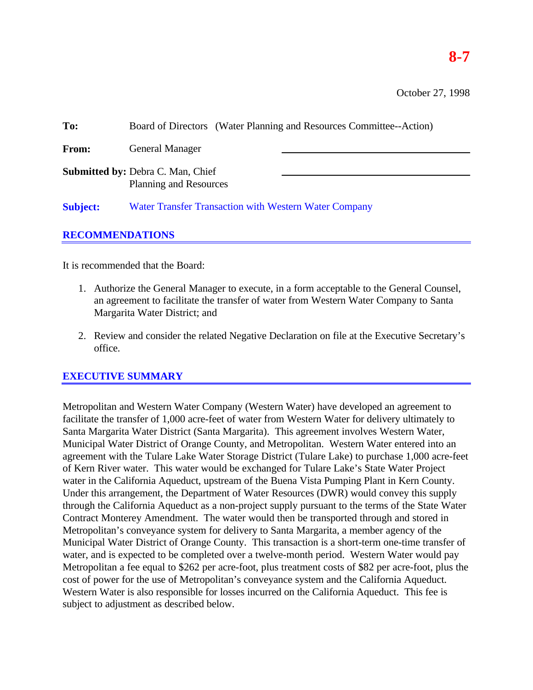# **8-7**

| To:                    | Board of Directors (Water Planning and Resources Committee--Action)       |  |  |  |  |
|------------------------|---------------------------------------------------------------------------|--|--|--|--|
| From:                  | <b>General Manager</b>                                                    |  |  |  |  |
|                        | <b>Submitted by: Debra C. Man, Chief</b><br><b>Planning and Resources</b> |  |  |  |  |
| <b>Subject:</b>        | Water Transfer Transaction with Western Water Company                     |  |  |  |  |
| <b>RECOMMENDATIONS</b> |                                                                           |  |  |  |  |

It is recommended that the Board:

- 1. Authorize the General Manager to execute, in a form acceptable to the General Counsel, an agreement to facilitate the transfer of water from Western Water Company to Santa Margarita Water District; and
- 2. Review and consider the related Negative Declaration on file at the Executive Secretary's office.

## **EXECUTIVE SUMMARY**

Metropolitan and Western Water Company (Western Water) have developed an agreement to facilitate the transfer of 1,000 acre-feet of water from Western Water for delivery ultimately to Santa Margarita Water District (Santa Margarita). This agreement involves Western Water, Municipal Water District of Orange County, and Metropolitan. Western Water entered into an agreement with the Tulare Lake Water Storage District (Tulare Lake) to purchase 1,000 acre-feet of Kern River water. This water would be exchanged for Tulare Lake's State Water Project water in the California Aqueduct, upstream of the Buena Vista Pumping Plant in Kern County. Under this arrangement, the Department of Water Resources (DWR) would convey this supply through the California Aqueduct as a non-project supply pursuant to the terms of the State Water Contract Monterey Amendment. The water would then be transported through and stored in Metropolitan's conveyance system for delivery to Santa Margarita, a member agency of the Municipal Water District of Orange County. This transaction is a short-term one-time transfer of water, and is expected to be completed over a twelve-month period. Western Water would pay Metropolitan a fee equal to \$262 per acre-foot, plus treatment costs of \$82 per acre-foot, plus the cost of power for the use of Metropolitan's conveyance system and the California Aqueduct. Western Water is also responsible for losses incurred on the California Aqueduct. This fee is subject to adjustment as described below.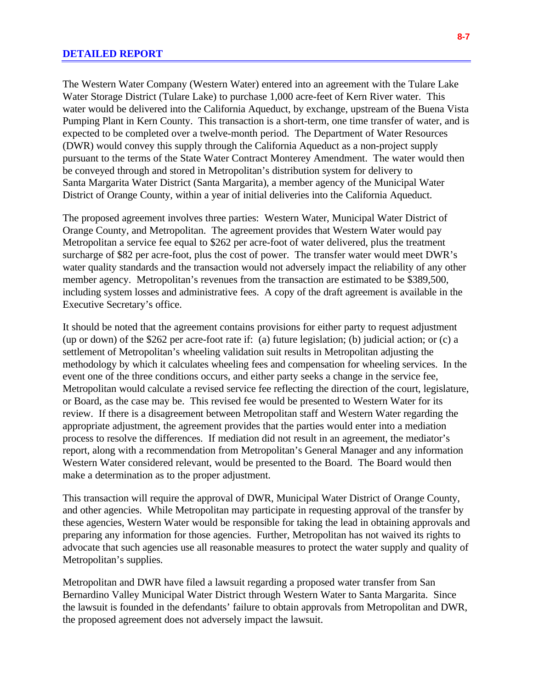The Western Water Company (Western Water) entered into an agreement with the Tulare Lake Water Storage District (Tulare Lake) to purchase 1,000 acre-feet of Kern River water. This water would be delivered into the California Aqueduct, by exchange, upstream of the Buena Vista Pumping Plant in Kern County. This transaction is a short-term, one time transfer of water, and is expected to be completed over a twelve-month period. The Department of Water Resources (DWR) would convey this supply through the California Aqueduct as a non-project supply pursuant to the terms of the State Water Contract Monterey Amendment. The water would then be conveyed through and stored in Metropolitan's distribution system for delivery to Santa Margarita Water District (Santa Margarita), a member agency of the Municipal Water District of Orange County, within a year of initial deliveries into the California Aqueduct.

The proposed agreement involves three parties: Western Water, Municipal Water District of Orange County, and Metropolitan. The agreement provides that Western Water would pay Metropolitan a service fee equal to \$262 per acre-foot of water delivered, plus the treatment surcharge of \$82 per acre-foot, plus the cost of power. The transfer water would meet DWR's water quality standards and the transaction would not adversely impact the reliability of any other member agency. Metropolitan's revenues from the transaction are estimated to be \$389,500, including system losses and administrative fees. A copy of the draft agreement is available in the Executive Secretary's office.

It should be noted that the agreement contains provisions for either party to request adjustment (up or down) of the \$262 per acre-foot rate if: (a) future legislation; (b) judicial action; or (c) a settlement of Metropolitan's wheeling validation suit results in Metropolitan adjusting the methodology by which it calculates wheeling fees and compensation for wheeling services. In the event one of the three conditions occurs, and either party seeks a change in the service fee, Metropolitan would calculate a revised service fee reflecting the direction of the court, legislature, or Board, as the case may be. This revised fee would be presented to Western Water for its review. If there is a disagreement between Metropolitan staff and Western Water regarding the appropriate adjustment, the agreement provides that the parties would enter into a mediation process to resolve the differences. If mediation did not result in an agreement, the mediator's report, along with a recommendation from Metropolitan's General Manager and any information Western Water considered relevant, would be presented to the Board. The Board would then make a determination as to the proper adjustment.

This transaction will require the approval of DWR, Municipal Water District of Orange County, and other agencies. While Metropolitan may participate in requesting approval of the transfer by these agencies, Western Water would be responsible for taking the lead in obtaining approvals and preparing any information for those agencies. Further, Metropolitan has not waived its rights to advocate that such agencies use all reasonable measures to protect the water supply and quality of Metropolitan's supplies.

Metropolitan and DWR have filed a lawsuit regarding a proposed water transfer from San Bernardino Valley Municipal Water District through Western Water to Santa Margarita. Since the lawsuit is founded in the defendants' failure to obtain approvals from Metropolitan and DWR, the proposed agreement does not adversely impact the lawsuit.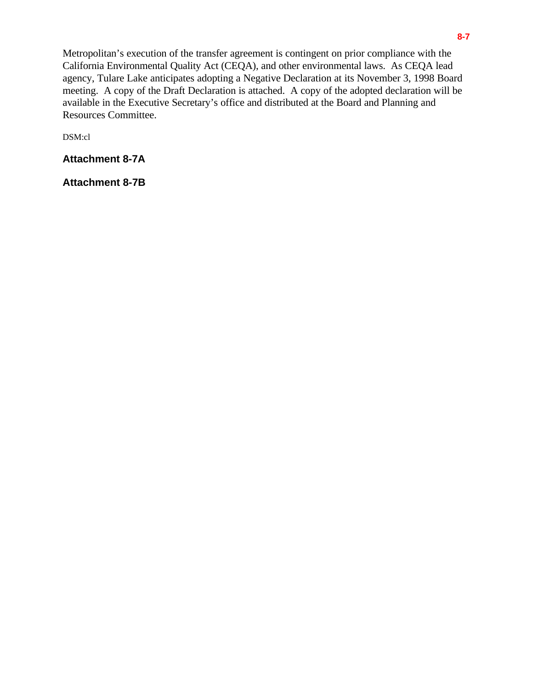Metropolitan's execution of the transfer agreement is contingent on prior compliance with the California Environmental Quality Act (CEQA), and other environmental laws. As CEQA lead agency, Tulare Lake anticipates adopting a Negative Declaration at its November 3, 1998 Board meeting. A copy of the Draft Declaration is attached. A copy of the adopted declaration will be available in the Executive Secretary's office and distributed at the Board and Planning and Resources Committee.

DSM:cl

**Attachment 8-7A**

**Attachment 8-7B**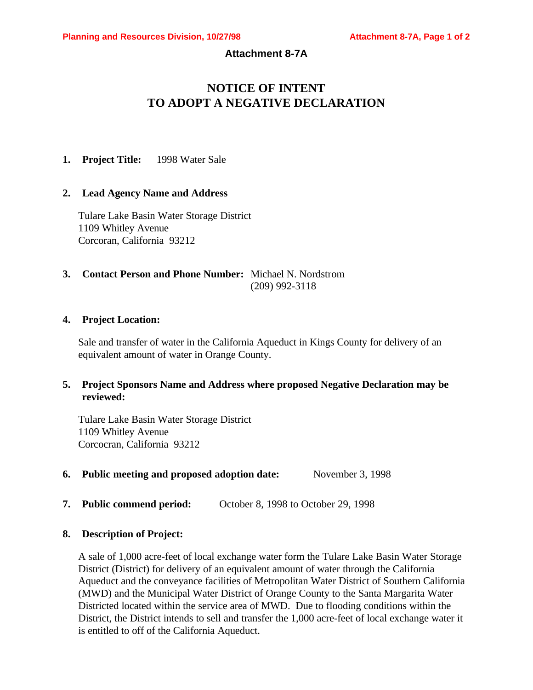## **Attachment 8-7A**

## **NOTICE OF INTENT TO ADOPT A NEGATIVE DECLARATION**

**1. Project Title:** 1998 Water Sale

#### **2. Lead Agency Name and Address**

Tulare Lake Basin Water Storage District 1109 Whitley Avenue Corcoran, California 93212

## **3. Contact Person and Phone Number:** Michael N. Nordstrom (209) 992-3118

#### **4. Project Location:**

Sale and transfer of water in the California Aqueduct in Kings County for delivery of an equivalent amount of water in Orange County.

## **5. Project Sponsors Name and Address where proposed Negative Declaration may be reviewed:**

Tulare Lake Basin Water Storage District 1109 Whitley Avenue Corcocran, California 93212

- **6. Public meeting and proposed adoption date:** November 3, 1998
- **7. Public commend period:** October 8, 1998 to October 29, 1998

#### **8. Description of Project:**

A sale of 1,000 acre-feet of local exchange water form the Tulare Lake Basin Water Storage District (District) for delivery of an equivalent amount of water through the California Aqueduct and the conveyance facilities of Metropolitan Water District of Southern California (MWD) and the Municipal Water District of Orange County to the Santa Margarita Water Districted located within the service area of MWD. Due to flooding conditions within the District, the District intends to sell and transfer the 1,000 acre-feet of local exchange water it is entitled to off of the California Aqueduct.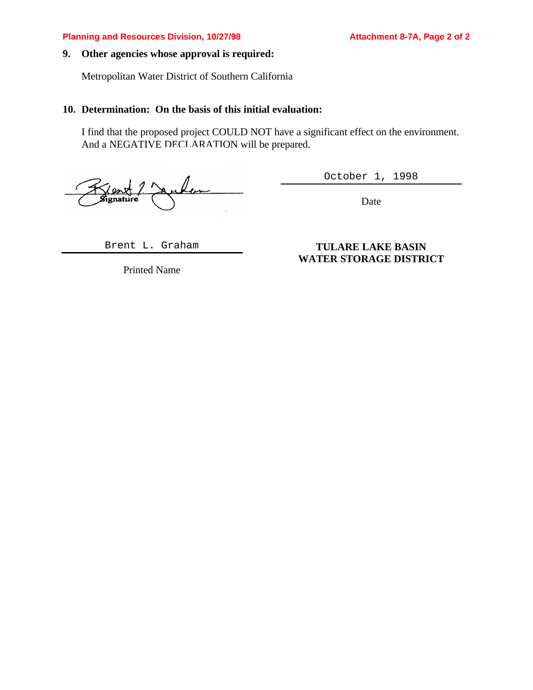#### **9. Other agencies whose approval is required:**

Metropolitan Water District of Southern California

#### **10. Determination: On the basis of this initial evaluation:**

I find that the proposed project COULD NOT have a significant effect on the environment. And a NEGATIVE DECLARATION will be prepared.

Signature

October 1, 1998

Date

Brent L. Graham

Printed Name

## **TULARE LAKE BASIN WATER STORAGE DISTRICT**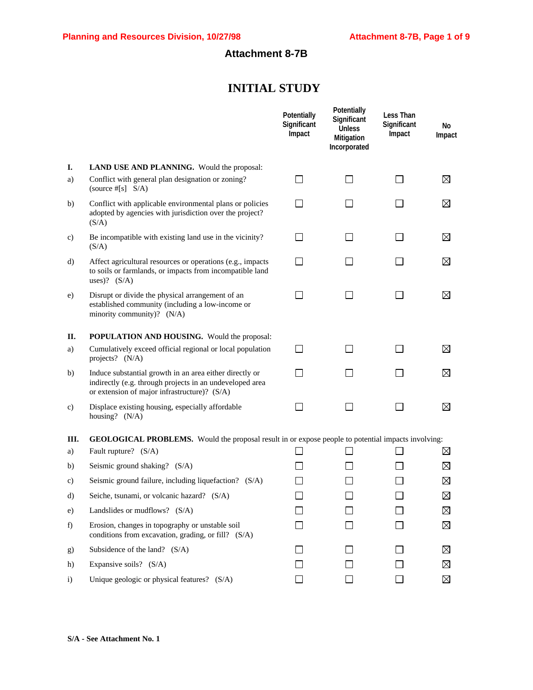## **Attachment 8-7B**

## **INITIAL STUDY**

|              |                                                                                                                                                                     | Potentially<br>Significant<br>Impact | Potentially<br>Significant<br><b>Unless</b><br>Mitigation<br>Incorporated | Less Than<br>Significant<br>Impact | No<br>Impact |
|--------------|---------------------------------------------------------------------------------------------------------------------------------------------------------------------|--------------------------------------|---------------------------------------------------------------------------|------------------------------------|--------------|
| I.           | LAND USE AND PLANNING. Would the proposal:                                                                                                                          |                                      |                                                                           |                                    |              |
| a)           | Conflict with general plan designation or zoning?<br>(source $#[s]$ S/A)                                                                                            | $\blacksquare$                       | $\mathsf{L}$                                                              | $\perp$                            | ⊠            |
| b)           | Conflict with applicable environmental plans or policies<br>adopted by agencies with jurisdiction over the project?<br>(S/A)                                        |                                      |                                                                           | $\Box$                             | ⊠            |
| C)           | Be incompatible with existing land use in the vicinity?<br>(S/A)                                                                                                    | $\mathbf{I}$                         | $\sim$                                                                    | ΙI                                 | ⊠            |
| d)           | Affect agricultural resources or operations (e.g., impacts<br>to soils or farmlands, or impacts from incompatible land<br>uses)? $(S/A)$                            | $\sim$                               | L.                                                                        | $\mathsf{L}$                       | ⊠            |
| e)           | Disrupt or divide the physical arrangement of an<br>established community (including a low-income or<br>minority community)? (N/A)                                  |                                      |                                                                           |                                    | ⊠            |
| П.           | <b>POPULATION AND HOUSING.</b> Would the proposal:                                                                                                                  |                                      |                                                                           |                                    |              |
| a)           | Cumulatively exceed official regional or local population<br>projects? (N/A)                                                                                        |                                      |                                                                           |                                    | ⊠            |
| b)           | Induce substantial growth in an area either directly or<br>indirectly (e.g. through projects in an undeveloped area<br>or extension of major infrastructure)? (S/A) | $\mathcal{L}$                        |                                                                           | $\Box$                             | ⊠            |
| c)           | Displace existing housing, especially affordable<br>housing? (N/A)                                                                                                  |                                      |                                                                           | $\blacksquare$                     | ⊠            |
| Ш.           | GEOLOGICAL PROBLEMS. Would the proposal result in or expose people to potential impacts involving:                                                                  |                                      |                                                                           |                                    |              |
| a)           | Fault rupture? (S/A)                                                                                                                                                |                                      |                                                                           |                                    | ⊠            |
| b)           | Seismic ground shaking? (S/A)                                                                                                                                       |                                      |                                                                           |                                    | ⊠            |
| c)           | Seismic ground failure, including liquefaction? (S/A)                                                                                                               |                                      |                                                                           |                                    | $\boxtimes$  |
| d)           | Seiche, tsunami, or volcanic hazard? (S/A)                                                                                                                          |                                      |                                                                           |                                    | $\boxtimes$  |
| e)           | Landslides or mudflows? $(S/A)$                                                                                                                                     |                                      |                                                                           |                                    | ⊠            |
| f)           | Erosion, changes in topography or unstable soil<br>conditions from excavation, grading, or fill? (S/A)                                                              |                                      |                                                                           |                                    | ⊠            |
| g)           | Subsidence of the land? (S/A)                                                                                                                                       |                                      |                                                                           |                                    | ⊠            |
| h)           | Expansive soils? (S/A)                                                                                                                                              |                                      |                                                                           |                                    | ⊠            |
| $\mathbf{i}$ | Unique geologic or physical features? (S/A)                                                                                                                         |                                      |                                                                           |                                    | ⊠            |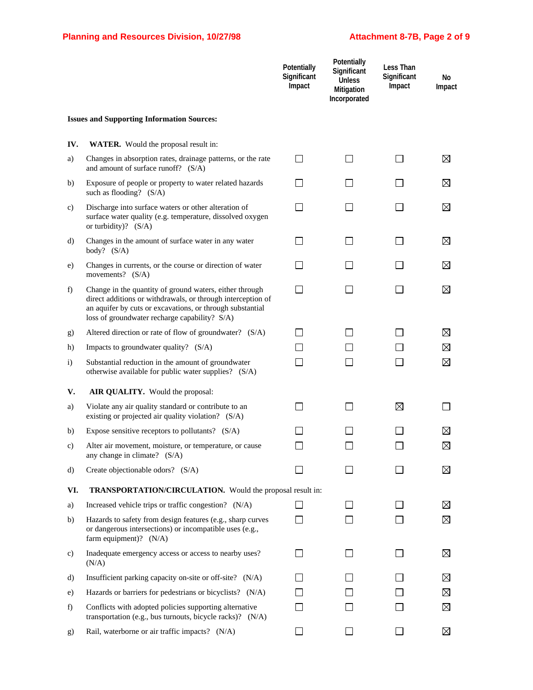|              |                                                                                                                                                                                                                                      | Potentially<br>Significant<br>Impact | Potentially<br>Significant<br><b>Unless</b><br><b>Mitigation</b><br>Incorporated | Less Than<br>Significant<br>Impact | No<br>Impact |
|--------------|--------------------------------------------------------------------------------------------------------------------------------------------------------------------------------------------------------------------------------------|--------------------------------------|----------------------------------------------------------------------------------|------------------------------------|--------------|
|              | <b>Issues and Supporting Information Sources:</b>                                                                                                                                                                                    |                                      |                                                                                  |                                    |              |
| IV.          | <b>WATER.</b> Would the proposal result in:                                                                                                                                                                                          |                                      |                                                                                  |                                    |              |
| a)           | Changes in absorption rates, drainage patterns, or the rate<br>and amount of surface runoff? (S/A)                                                                                                                                   | $\mathsf{L}$                         |                                                                                  |                                    | ⊠            |
| b)           | Exposure of people or property to water related hazards<br>such as flooding? $(S/A)$                                                                                                                                                 |                                      |                                                                                  |                                    | ⊠            |
| C)           | Discharge into surface waters or other alteration of<br>surface water quality (e.g. temperature, dissolved oxygen<br>or turbidity)? $(S/A)$                                                                                          | $\Box$                               |                                                                                  | $\overline{\phantom{a}}$           | ⊠            |
| d)           | Changes in the amount of surface water in any water<br>body? $(S/A)$                                                                                                                                                                 | $\overline{\phantom{a}}$             |                                                                                  | $\blacksquare$                     | ⊠            |
| e)           | Changes in currents, or the course or direction of water<br>movements? $(S/A)$                                                                                                                                                       |                                      |                                                                                  |                                    | ⊠            |
| f)           | Change in the quantity of ground waters, either through<br>direct additions or withdrawals, or through interception of<br>an aquifer by cuts or excavations, or through substantial<br>loss of groundwater recharge capability? S/A) | ΙI                                   |                                                                                  |                                    | ⊠            |
| g)           | Altered direction or rate of flow of groundwater? (S/A)                                                                                                                                                                              | $\Box$                               |                                                                                  |                                    | ⊠            |
| h)           | Impacts to groundwater quality? (S/A)                                                                                                                                                                                                |                                      |                                                                                  |                                    | ⊠            |
| $\mathbf{i}$ | Substantial reduction in the amount of groundwater<br>otherwise available for public water supplies? (S/A)                                                                                                                           |                                      |                                                                                  |                                    | ⊠            |
| V.           | AIR QUALITY. Would the proposal:                                                                                                                                                                                                     |                                      |                                                                                  |                                    |              |
| a)           | Violate any air quality standard or contribute to an<br>existing or projected air quality violation? (S/A)                                                                                                                           |                                      |                                                                                  | ⊠                                  |              |
| b)           | Expose sensitive receptors to pollutants? $(S/A)$                                                                                                                                                                                    |                                      |                                                                                  |                                    | $\boxtimes$  |
| C)           | Alter air movement, moisture, or temperature, or cause<br>any change in climate? (S/A)                                                                                                                                               |                                      |                                                                                  |                                    | $\boxtimes$  |
| d)           | Create objectionable odors? (S/A)                                                                                                                                                                                                    |                                      |                                                                                  |                                    | ⊠            |
| VI.          | TRANSPORTATION/CIRCULATION. Would the proposal result in:                                                                                                                                                                            |                                      |                                                                                  |                                    |              |
| a)           | Increased vehicle trips or traffic congestion? (N/A)                                                                                                                                                                                 |                                      |                                                                                  |                                    | ⊠            |
| b)           | Hazards to safety from design features (e.g., sharp curves<br>or dangerous intersections) or incompatible uses (e.g.,<br>farm equipment)? $(N/A)$                                                                                    |                                      |                                                                                  |                                    | ⊠            |
| C)           | Inadequate emergency access or access to nearby uses?<br>(N/A)                                                                                                                                                                       |                                      |                                                                                  |                                    | ⊠            |
| d)           | Insufficient parking capacity on-site or off-site? (N/A)                                                                                                                                                                             |                                      |                                                                                  |                                    | ⊠            |
| e)           | Hazards or barriers for pedestrians or bicyclists? (N/A)                                                                                                                                                                             |                                      |                                                                                  |                                    | ⊠            |
| f)           | Conflicts with adopted policies supporting alternative<br>transportation (e.g., bus turnouts, bicycle racks)? (N/A)                                                                                                                  |                                      |                                                                                  |                                    | ⊠            |
| g)           | Rail, waterborne or air traffic impacts? (N/A)                                                                                                                                                                                       |                                      |                                                                                  |                                    | ⊠            |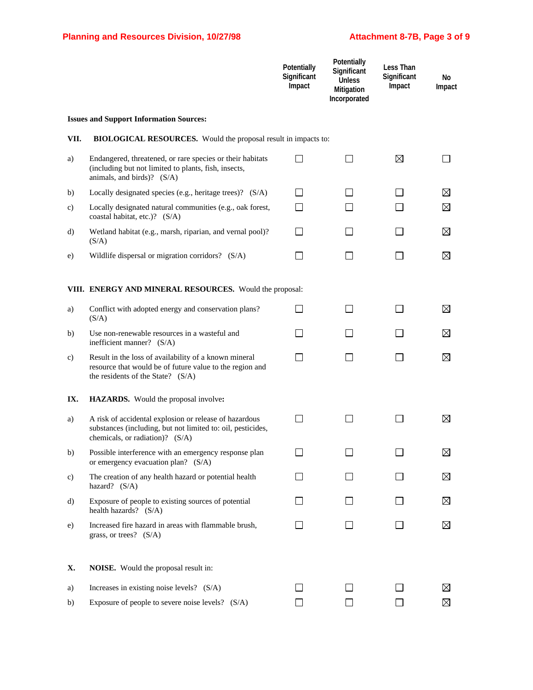|      |                                                                                                                                                          | Potentially<br>Significant<br>Impact | Potentially<br>Significant<br><b>Unless</b><br>Mitigation<br>Incorporated | Less Than<br>Significant<br>Impact | No<br>Impact |
|------|----------------------------------------------------------------------------------------------------------------------------------------------------------|--------------------------------------|---------------------------------------------------------------------------|------------------------------------|--------------|
|      | <b>Issues and Support Information Sources:</b>                                                                                                           |                                      |                                                                           |                                    |              |
| VII. | <b>BIOLOGICAL RESOURCES.</b> Would the proposal result in impacts to:                                                                                    |                                      |                                                                           |                                    |              |
| a)   | Endangered, threatened, or rare species or their habitats<br>(including but not limited to plants, fish, insects,<br>animals, and birds)? (S/A)          | $\mathsf{L}$                         |                                                                           | ⊠                                  |              |
| b)   | Locally designated species (e.g., heritage trees)? (S/A)                                                                                                 |                                      |                                                                           |                                    | ⊠            |
| c)   | Locally designated natural communities (e.g., oak forest,<br>coastal habitat, etc.)? (S/A)                                                               |                                      |                                                                           |                                    | ⊠            |
| d)   | Wetland habitat (e.g., marsh, riparian, and vernal pool)?<br>(S/A)                                                                                       |                                      |                                                                           |                                    | ⊠            |
| e)   | Wildlife dispersal or migration corridors? (S/A)                                                                                                         |                                      |                                                                           |                                    | ⊠            |
|      | VIII. ENERGY AND MINERAL RESOURCES. Would the proposal:                                                                                                  |                                      |                                                                           |                                    |              |
| a)   | Conflict with adopted energy and conservation plans?<br>(S/A)                                                                                            | $\overline{\phantom{a}}$             |                                                                           |                                    | ⊠            |
| b)   | Use non-renewable resources in a wasteful and<br>inefficient manner? (S/A)                                                                               |                                      |                                                                           |                                    | ⊠            |
| c)   | Result in the loss of availability of a known mineral<br>resource that would be of future value to the region and<br>the residents of the State? (S/A)   | $\blacksquare$                       |                                                                           |                                    | ⊠            |
| IX.  | HAZARDS. Would the proposal involve:                                                                                                                     |                                      |                                                                           |                                    |              |
| a)   | A risk of accidental explosion or release of hazardous<br>substances (including, but not limited to: oil, pesticides,<br>chemicals, or radiation)? (S/A) | $\blacksquare$                       |                                                                           |                                    | ⊠            |
| b)   | Possible interference with an emergency response plan<br>or emergency evacuation plan? (S/A)                                                             |                                      |                                                                           |                                    | ⊠            |
| c)   | The creation of any health hazard or potential health<br>hazard? (S/A)                                                                                   |                                      |                                                                           |                                    | ⊠            |
| d)   | Exposure of people to existing sources of potential<br>health hazards? (S/A)                                                                             |                                      |                                                                           |                                    | ⊠            |
| e)   | Increased fire hazard in areas with flammable brush,<br>grass, or trees? $(S/A)$                                                                         | $\overline{\phantom{a}}$             |                                                                           |                                    | ⊠            |
| Х.   | <b>NOISE.</b> Would the proposal result in:                                                                                                              |                                      |                                                                           |                                    |              |
| a)   | Increases in existing noise levels? (S/A)                                                                                                                |                                      |                                                                           |                                    | ⊠            |
| b)   | Exposure of people to severe noise levels? (S/A)                                                                                                         |                                      |                                                                           |                                    | ⊠            |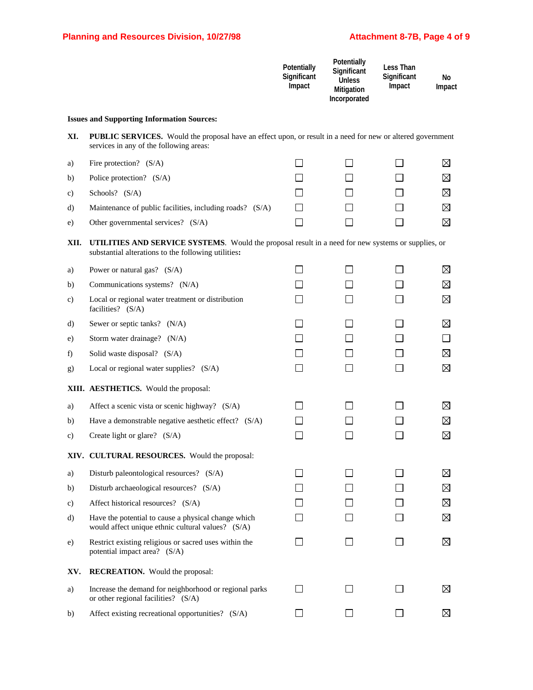|         |                                                                                                                                                              | Potentially<br>Significant<br>Impact | <b>Potentially</b><br>Significant<br><b>Unless</b><br>Mitigation<br>Incorporated | Less Than<br>Significant<br>Impact | No<br>Impact |
|---------|--------------------------------------------------------------------------------------------------------------------------------------------------------------|--------------------------------------|----------------------------------------------------------------------------------|------------------------------------|--------------|
|         | <b>Issues and Supporting Information Sources:</b>                                                                                                            |                                      |                                                                                  |                                    |              |
| XI.     | <b>PUBLIC SERVICES.</b> Would the proposal have an effect upon, or result in a need for new or altered government<br>services in any of the following areas: |                                      |                                                                                  |                                    |              |
| a)      | Fire protection? $(S/A)$                                                                                                                                     |                                      |                                                                                  | $\mathbf{I}$                       | $\boxtimes$  |
| b)      | Police protection? (S/A)                                                                                                                                     |                                      |                                                                                  |                                    | ⊠            |
| C)      | Schools? (S/A)                                                                                                                                               |                                      |                                                                                  |                                    | ⊠            |
| d)      | Maintenance of public facilities, including roads? (S/A)                                                                                                     |                                      |                                                                                  |                                    | ⊠            |
| e)      | Other governmental services? (S/A)                                                                                                                           | П                                    |                                                                                  |                                    | ⊠            |
| XII.    | UTILITIES AND SERVICE SYSTEMS. Would the proposal result in a need for new systems or supplies, or<br>substantial alterations to the following utilities:    |                                      |                                                                                  |                                    |              |
| a)      | Power or natural gas? $(S/A)$                                                                                                                                |                                      |                                                                                  |                                    | ⊠            |
| b)      | Communications systems? (N/A)                                                                                                                                |                                      |                                                                                  |                                    | ⊠            |
| c)      | Local or regional water treatment or distribution<br>facilities? (S/A)                                                                                       |                                      |                                                                                  |                                    | ⊠            |
| d)      | Sewer or septic tanks? (N/A)                                                                                                                                 |                                      |                                                                                  |                                    | ⊠            |
| e)      | Storm water drainage? (N/A)                                                                                                                                  |                                      |                                                                                  |                                    | $\Box$       |
| f)      | Solid waste disposal? (S/A)                                                                                                                                  |                                      |                                                                                  |                                    | ⊠            |
| g)      | Local or regional water supplies? (S/A)                                                                                                                      | $\blacksquare$                       |                                                                                  | $\mathsf{L}$                       | ⊠            |
|         | XIII. AESTHETICS. Would the proposal:                                                                                                                        |                                      |                                                                                  |                                    |              |
| a)      | Affect a scenic vista or scenic highway? (S/A)                                                                                                               |                                      |                                                                                  |                                    | $\boxtimes$  |
| b)      | Have a demonstrable negative aesthetic effect? (S/A)                                                                                                         |                                      |                                                                                  |                                    | ⊠            |
| c)      | Create light or glare? (S/A)                                                                                                                                 |                                      |                                                                                  |                                    | ⊠            |
|         | XIV. CULTURAL RESOURCES. Would the proposal:                                                                                                                 |                                      |                                                                                  |                                    |              |
| a)      | Disturb paleontological resources? (S/A)                                                                                                                     |                                      |                                                                                  |                                    | ⊠            |
| b)      | Disturb archaeological resources? (S/A)                                                                                                                      |                                      |                                                                                  |                                    | ⊠            |
| c)      | Affect historical resources? (S/A)                                                                                                                           |                                      |                                                                                  |                                    | ⊠            |
| $\rm d$ | Have the potential to cause a physical change which<br>would affect unique ethnic cultural values? (S/A)                                                     |                                      |                                                                                  |                                    | ⊠            |
| e)      | Restrict existing religious or sacred uses within the<br>potential impact area? (S/A)                                                                        |                                      |                                                                                  |                                    | ⊠            |
| XV.     | <b>RECREATION.</b> Would the proposal:                                                                                                                       |                                      |                                                                                  |                                    |              |
| a)      | Increase the demand for neighborhood or regional parks<br>or other regional facilities? (S/A)                                                                |                                      |                                                                                  |                                    | ⊠            |
| b)      | Affect existing recreational opportunities? (S/A)                                                                                                            |                                      |                                                                                  |                                    | ⊠            |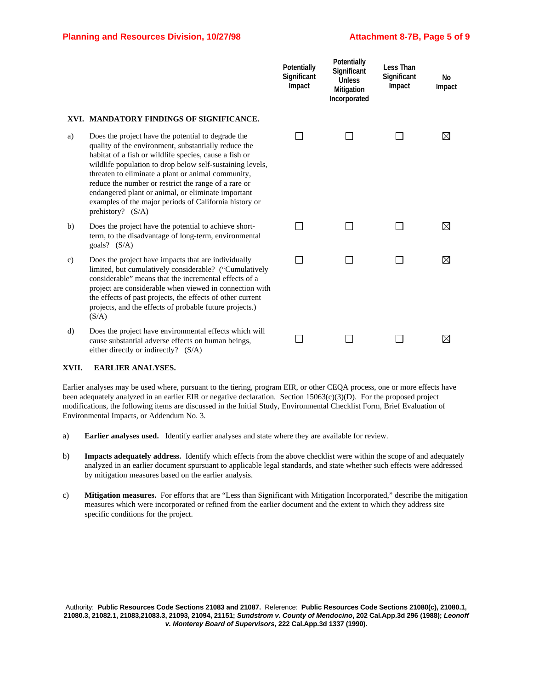|    |                                                                                                                                                                                                                                                                                                                                                                                                                                                                                      | Potentially<br>Significant<br>Impact | Potentially<br>Significant<br><b>Unless</b><br>Mitigation<br>Incorporated | <b>Less Than</b><br>Significant<br>Impact | No<br>Impact |
|----|--------------------------------------------------------------------------------------------------------------------------------------------------------------------------------------------------------------------------------------------------------------------------------------------------------------------------------------------------------------------------------------------------------------------------------------------------------------------------------------|--------------------------------------|---------------------------------------------------------------------------|-------------------------------------------|--------------|
|    | XVI. MANDATORY FINDINGS OF SIGNIFICANCE.                                                                                                                                                                                                                                                                                                                                                                                                                                             |                                      |                                                                           |                                           |              |
| a) | Does the project have the potential to degrade the<br>quality of the environment, substantially reduce the<br>habitat of a fish or wildlife species, cause a fish or<br>wildlife population to drop below self-sustaining levels,<br>threaten to eliminate a plant or animal community,<br>reduce the number or restrict the range of a rare or<br>endangered plant or animal, or eliminate important<br>examples of the major periods of California history or<br>prehistory? (S/A) |                                      |                                                                           |                                           | ⊠            |
| b) | Does the project have the potential to achieve short-<br>term, to the disadvantage of long-term, environmental<br>goals? $(S/A)$                                                                                                                                                                                                                                                                                                                                                     |                                      |                                                                           |                                           | ⊠            |
| c) | Does the project have impacts that are individually<br>limited, but cumulatively considerable? ("Cumulatively<br>considerable" means that the incremental effects of a<br>project are considerable when viewed in connection with<br>the effects of past projects, the effects of other current<br>projects, and the effects of probable future projects.)<br>(S/A)                                                                                                                  |                                      |                                                                           |                                           | ⊠            |
| d) | Does the project have environmental effects which will<br>cause substantial adverse effects on human beings,<br>either directly or indirectly? (S/A)                                                                                                                                                                                                                                                                                                                                 |                                      |                                                                           |                                           | ⊠            |

#### **XVII. EARLIER ANALYSES.**

Earlier analyses may be used where, pursuant to the tiering, program EIR, or other CEQA process, one or more effects have been adequately analyzed in an earlier EIR or negative declaration. Section 15063(c)(3)(D). For the proposed project modifications, the following items are discussed in the Initial Study, Environmental Checklist Form, Brief Evaluation of Environmental Impacts, or Addendum No. 3.

- a) **Earlier analyses used.** Identify earlier analyses and state where they are available for review.
- b) **Impacts adequately address.** Identify which effects from the above checklist were within the scope of and adequately analyzed in an earlier document spursuant to applicable legal standards, and state whether such effects were addressed by mitigation measures based on the earlier analysis.
- c) **Mitigation measures.** For efforts that are "Less than Significant with Mitigation Incorporated," describe the mitigation measures which were incorporated or refined from the earlier document and the extent to which they address site specific conditions for the project.

Authority: **Public Resources Code Sections 21083 and 21087.** Reference: **Public Resources Code Sections 21080(c), 21080.1, 21080.3, 21082.1, 21083,21083.3, 21093, 21094, 21151;** *Sundstrom v. County of Mendocino***, 202 Cal.App.3d 296 (1988);** *Leonoff v. Monterey Board of Supervisors***, 222 Cal.App.3d 1337 (1990).**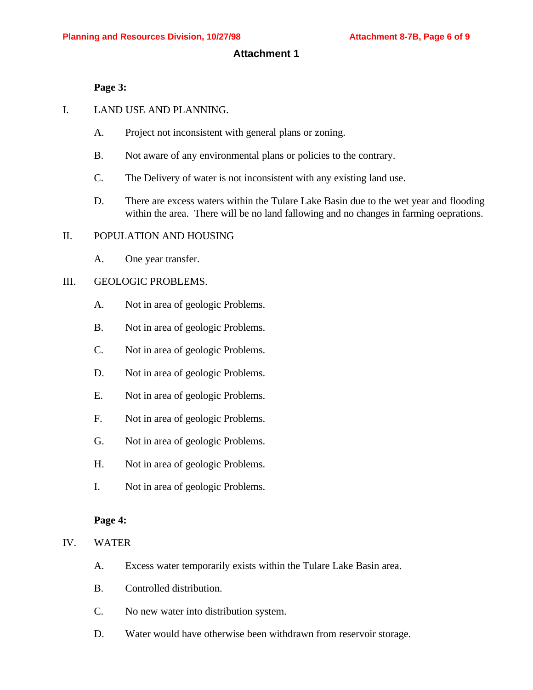#### **Attachment 1**

#### **Page 3:**

- I. LAND USE AND PLANNING.
	- A. Project not inconsistent with general plans or zoning.
	- B. Not aware of any environmental plans or policies to the contrary.
	- C. The Delivery of water is not inconsistent with any existing land use.
	- D. There are excess waters within the Tulare Lake Basin due to the wet year and flooding within the area. There will be no land fallowing and no changes in farming oeprations.

#### II. POPULATION AND HOUSING

A. One year transfer.

#### III. GEOLOGIC PROBLEMS.

- A. Not in area of geologic Problems.
- B. Not in area of geologic Problems.
- C. Not in area of geologic Problems.
- D. Not in area of geologic Problems.
- E. Not in area of geologic Problems.
- F. Not in area of geologic Problems.
- G. Not in area of geologic Problems.
- H. Not in area of geologic Problems.
- I. Not in area of geologic Problems.

#### **Page 4:**

- IV. WATER
	- A. Excess water temporarily exists within the Tulare Lake Basin area.
	- B. Controlled distribution.
	- C. No new water into distribution system.
	- D. Water would have otherwise been withdrawn from reservoir storage.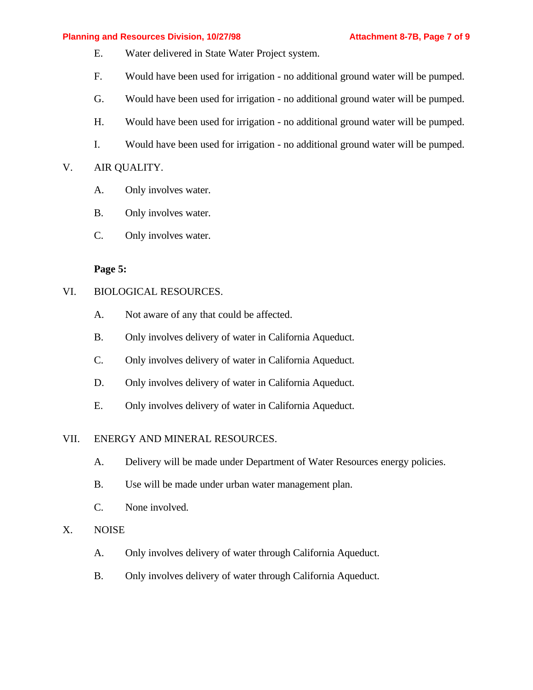#### **Planning and Resources Division, 10/27/98 Attachment 8-7B, Page 7 of 9**

- E. Water delivered in State Water Project system.
- F. Would have been used for irrigation no additional ground water will be pumped.
- G. Would have been used for irrigation no additional ground water will be pumped.
- H. Would have been used for irrigation no additional ground water will be pumped.
- I. Would have been used for irrigation no additional ground water will be pumped.

## V. AIR QUALITY.

- A. Only involves water.
- B. Only involves water.
- C. Only involves water.

#### **Page 5:**

#### VI. BIOLOGICAL RESOURCES.

- A. Not aware of any that could be affected.
- B. Only involves delivery of water in California Aqueduct.
- C. Only involves delivery of water in California Aqueduct.
- D. Only involves delivery of water in California Aqueduct.
- E. Only involves delivery of water in California Aqueduct.

#### VII. ENERGY AND MINERAL RESOURCES.

- A. Delivery will be made under Department of Water Resources energy policies.
- B. Use will be made under urban water management plan.
- C. None involved.

#### X. NOISE

- A. Only involves delivery of water through California Aqueduct.
- B. Only involves delivery of water through California Aqueduct.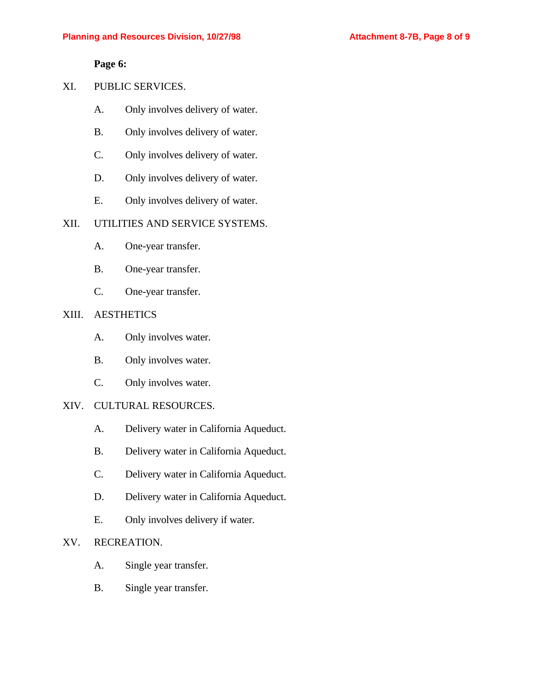**Page 6:**

### XI. PUBLIC SERVICES.

- A. Only involves delivery of water.
- B. Only involves delivery of water.
- C. Only involves delivery of water.
- D. Only involves delivery of water.
- E. Only involves delivery of water.

#### XII. UTILITIES AND SERVICE SYSTEMS.

- A. One-year transfer.
- B. One-year transfer.
- C. One-year transfer.

#### XIII. AESTHETICS

- A. Only involves water.
- B. Only involves water.
- C. Only involves water.

#### XIV. CULTURAL RESOURCES.

- A. Delivery water in California Aqueduct.
- B. Delivery water in California Aqueduct.
- C. Delivery water in California Aqueduct.
- D. Delivery water in California Aqueduct.
- E. Only involves delivery if water.

## XV. RECREATION.

- A. Single year transfer.
- B. Single year transfer.